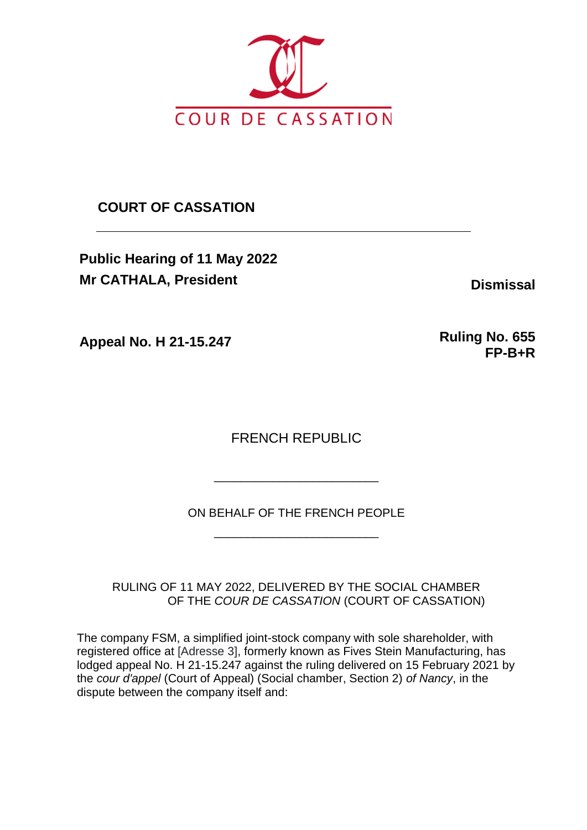

**COURT OF CASSATION**

**Public Hearing of 11 May 2022 Mr CATHALA, President Dismissal** 

**Appeal No. H 21-15.247 Ruling No. 655** 

**FP-B+R**

FRENCH REPUBLIC

ON BEHALF OF THE FRENCH PEOPLE

\_\_\_\_\_\_\_\_\_\_\_\_\_\_\_\_\_\_\_\_\_\_\_\_\_

\_\_\_\_\_\_\_\_\_\_\_\_\_\_\_\_\_\_\_\_\_\_\_\_\_

RULING OF 11 MAY 2022, DELIVERED BY THE SOCIAL CHAMBER OF THE *COUR DE CASSATION* (COURT OF CASSATION)

The company FSM, a simplified joint-stock company with sole shareholder, with registered office at [Adresse 3], formerly known as Fives Stein Manufacturing, has lodged appeal No. H 21-15.247 against the ruling delivered on 15 February 2021 by the *cour d'appel* (Court of Appeal) (Social chamber, Section 2) *of Nancy*, in the dispute between the company itself and: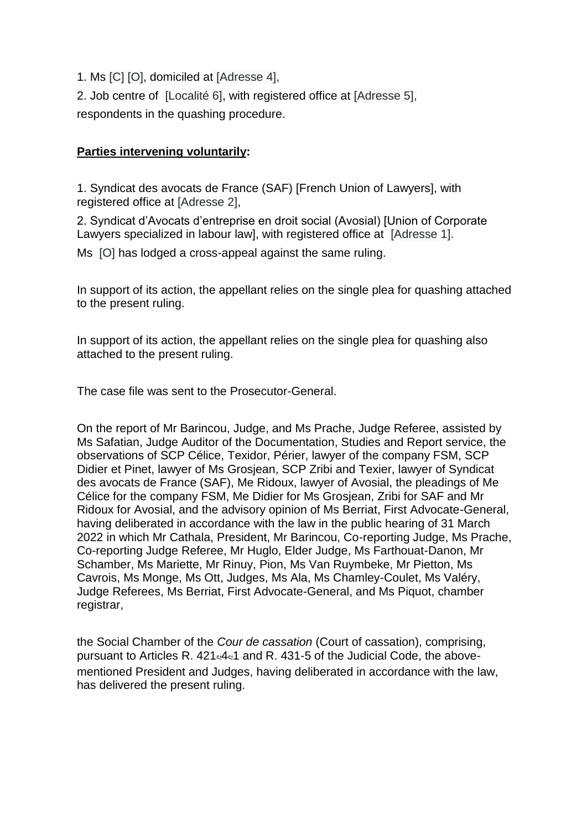1. Ms [C] [O], domiciled at [Adresse 4],

2. Job centre of [Localité 6], with registered office at [Adresse 5], respondents in the quashing procedure.

### **Parties intervening voluntarily:**

1. Syndicat des avocats de France (SAF) [French Union of Lawyers], with registered office at [Adresse 2],

2. Syndicat d'Avocats d'entreprise en droit social (Avosial) [Union of Corporate Lawyers specialized in labour lawl, with registered office at [Adresse 1].

Ms [O] has lodged a cross-appeal against the same ruling.

In support of its action, the appellant relies on the single plea for quashing attached to the present ruling.

In support of its action, the appellant relies on the single plea for quashing also attached to the present ruling.

The case file was sent to the Prosecutor-General.

On the report of Mr Barincou, Judge, and Ms Prache, Judge Referee, assisted by Ms Safatian, Judge Auditor of the Documentation, Studies and Report service, the observations of SCP Célice, Texidor, Périer, lawyer of the company FSM, SCP Didier et Pinet, lawyer of Ms Grosjean, SCP Zribi and Texier, lawyer of Syndicat des avocats de France (SAF), Me Ridoux, lawyer of Avosial, the pleadings of Me Célice for the company FSM, Me Didier for Ms Grosjean, Zribi for SAF and Mr Ridoux for Avosial, and the advisory opinion of Ms Berriat, First Advocate-General, having deliberated in accordance with the law in the public hearing of 31 March 2022 in which Mr Cathala, President, Mr Barincou, Co-reporting Judge, Ms Prache, Co-reporting Judge Referee, Mr Huglo, Elder Judge, Ms Farthouat-Danon, Mr Schamber, Ms Mariette, Mr Rinuy, Pion, Ms Van Ruymbeke, Mr Pietton, Ms Cavrois, Ms Monge, Ms Ott, Judges, Ms Ala, Ms Chamley-Coulet, Ms Valéry, Judge Referees, Ms Berriat, First Advocate-General, and Ms Piquot, chamber registrar,

the Social Chamber of the *Cour de cassation* (Court of cassation), comprising, pursuant to Articles R.  $421441$  and R. 431-5 of the Judicial Code, the abovementioned President and Judges, having deliberated in accordance with the law, has delivered the present ruling.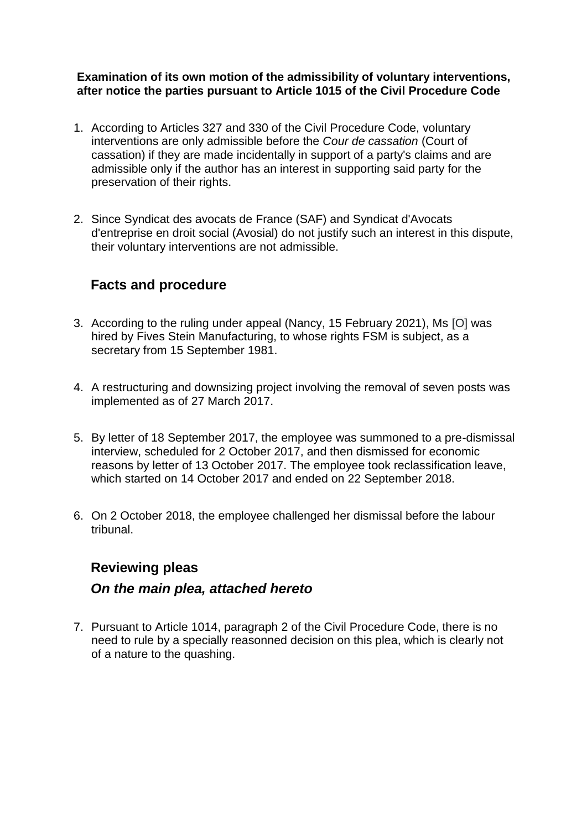### **Examination of its own motion of the admissibility of voluntary interventions, after notice the parties pursuant to Article 1015 of the Civil Procedure Code**

- 1. According to Articles 327 and 330 of the Civil Procedure Code, voluntary interventions are only admissible before the *Cour de cassation* (Court of cassation) if they are made incidentally in support of a party's claims and are admissible only if the author has an interest in supporting said party for the preservation of their rights.
- 2. Since Syndicat des avocats de France (SAF) and Syndicat d'Avocats d'entreprise en droit social (Avosial) do not justify such an interest in this dispute, their voluntary interventions are not admissible.

# **Facts and procedure**

- 3. According to the ruling under appeal (Nancy, 15 February 2021), Ms [O] was hired by Fives Stein Manufacturing, to whose rights FSM is subject, as a secretary from 15 September 1981.
- 4. A restructuring and downsizing project involving the removal of seven posts was implemented as of 27 March 2017.
- 5. By letter of 18 September 2017, the employee was summoned to a pre-dismissal interview, scheduled for 2 October 2017, and then dismissed for economic reasons by letter of 13 October 2017. The employee took reclassification leave, which started on 14 October 2017 and ended on 22 September 2018.
- 6. On 2 October 2018, the employee challenged her dismissal before the labour tribunal.

# **Reviewing pleas**

## *On the main plea, attached hereto*

7. Pursuant to Article 1014, paragraph 2 of the Civil Procedure Code, there is no need to rule by a specially reasonned decision on this plea, which is clearly not of a nature to the quashing.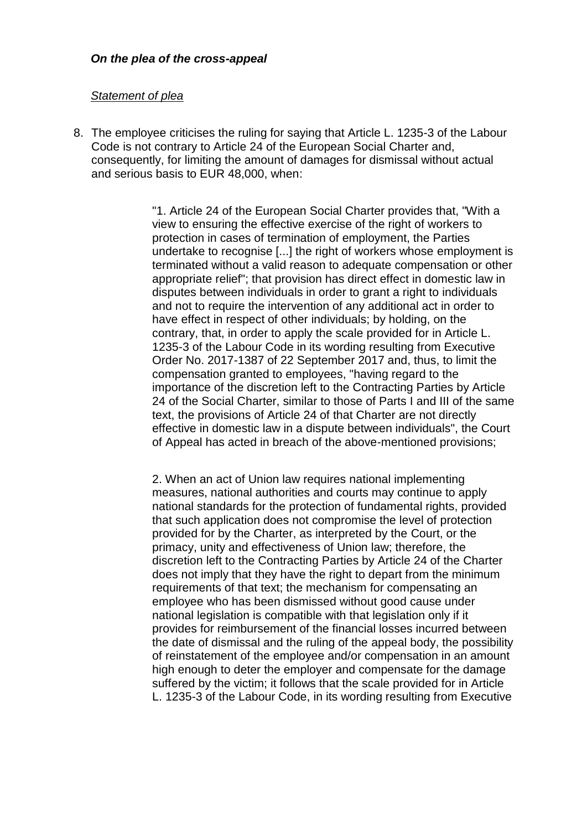### *Statement of plea*

8. The employee criticises the ruling for saying that Article L. 1235-3 of the Labour Code is not contrary to Article 24 of the European Social Charter and, consequently, for limiting the amount of damages for dismissal without actual and serious basis to EUR 48,000, when:

> "1. Article 24 of the European Social Charter provides that, "With a view to ensuring the effective exercise of the right of workers to protection in cases of termination of employment, the Parties undertake to recognise [...] the right of workers whose employment is terminated without a valid reason to adequate compensation or other appropriate relief"; that provision has direct effect in domestic law in disputes between individuals in order to grant a right to individuals and not to require the intervention of any additional act in order to have effect in respect of other individuals; by holding, on the contrary, that, in order to apply the scale provided for in Article L. 1235-3 of the Labour Code in its wording resulting from Executive Order No. 2017-1387 of 22 September 2017 and, thus, to limit the compensation granted to employees, "having regard to the importance of the discretion left to the Contracting Parties by Article 24 of the Social Charter, similar to those of Parts I and III of the same text, the provisions of Article 24 of that Charter are not directly effective in domestic law in a dispute between individuals", the Court of Appeal has acted in breach of the above-mentioned provisions;

> 2. When an act of Union law requires national implementing measures, national authorities and courts may continue to apply national standards for the protection of fundamental rights, provided that such application does not compromise the level of protection provided for by the Charter, as interpreted by the Court, or the primacy, unity and effectiveness of Union law; therefore, the discretion left to the Contracting Parties by Article 24 of the Charter does not imply that they have the right to depart from the minimum requirements of that text; the mechanism for compensating an employee who has been dismissed without good cause under national legislation is compatible with that legislation only if it provides for reimbursement of the financial losses incurred between the date of dismissal and the ruling of the appeal body, the possibility of reinstatement of the employee and/or compensation in an amount high enough to deter the employer and compensate for the damage suffered by the victim; it follows that the scale provided for in Article L. 1235-3 of the Labour Code, in its wording resulting from Executive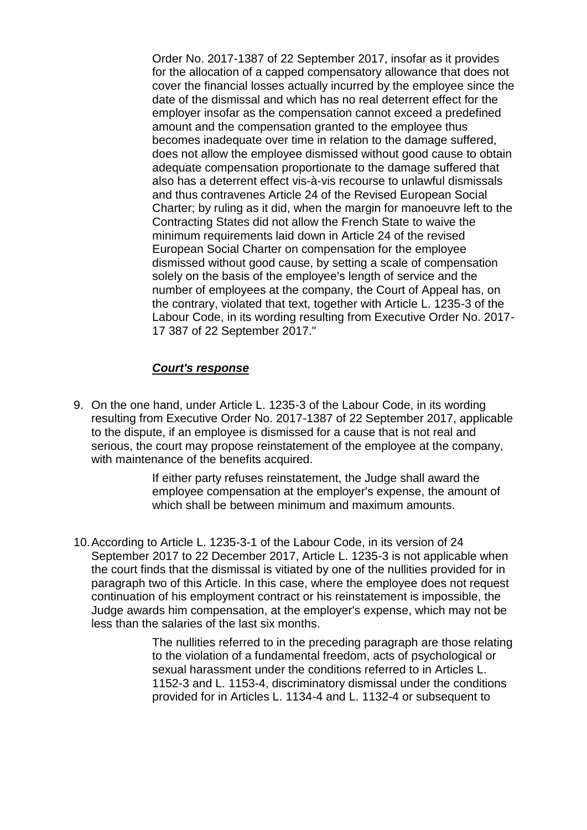Order No. 2017-1387 of 22 September 2017, insofar as it provides for the allocation of a capped compensatory allowance that does not cover the financial losses actually incurred by the employee since the date of the dismissal and which has no real deterrent effect for the employer insofar as the compensation cannot exceed a predefined amount and the compensation granted to the employee thus becomes inadequate over time in relation to the damage suffered, does not allow the employee dismissed without good cause to obtain adequate compensation proportionate to the damage suffered that also has a deterrent effect vis-à-vis recourse to unlawful dismissals and thus contravenes Article 24 of the Revised European Social Charter; by ruling as it did, when the margin for manoeuvre left to the Contracting States did not allow the French State to waive the minimum requirements laid down in Article 24 of the revised European Social Charter on compensation for the employee dismissed without good cause, by setting a scale of compensation solely on the basis of the employee's length of service and the number of employees at the company, the Court of Appeal has, on the contrary, violated that text, together with Article L. 1235-3 of the Labour Code, in its wording resulting from Executive Order No. 2017- 17 387 of 22 September 2017."

### *Court's response*

9. On the one hand, under Article L. 1235-3 of the Labour Code, in its wording resulting from Executive Order No. 2017-1387 of 22 September 2017, applicable to the dispute, if an employee is dismissed for a cause that is not real and serious, the court may propose reinstatement of the employee at the company, with maintenance of the benefits acquired.

> If either party refuses reinstatement, the Judge shall award the employee compensation at the employer's expense, the amount of which shall be between minimum and maximum amounts.

10.According to Article L. 1235-3-1 of the Labour Code, in its version of 24 September 2017 to 22 December 2017, Article L. 1235-3 is not applicable when the court finds that the dismissal is vitiated by one of the nullities provided for in paragraph two of this Article. In this case, where the employee does not request continuation of his employment contract or his reinstatement is impossible, the Judge awards him compensation, at the employer's expense, which may not be less than the salaries of the last six months.

> The nullities referred to in the preceding paragraph are those relating to the violation of a fundamental freedom, acts of psychological or sexual harassment under the conditions referred to in Articles L. 1152-3 and L. 1153-4, discriminatory dismissal under the conditions provided for in Articles L. 1134-4 and L. 1132-4 or subsequent to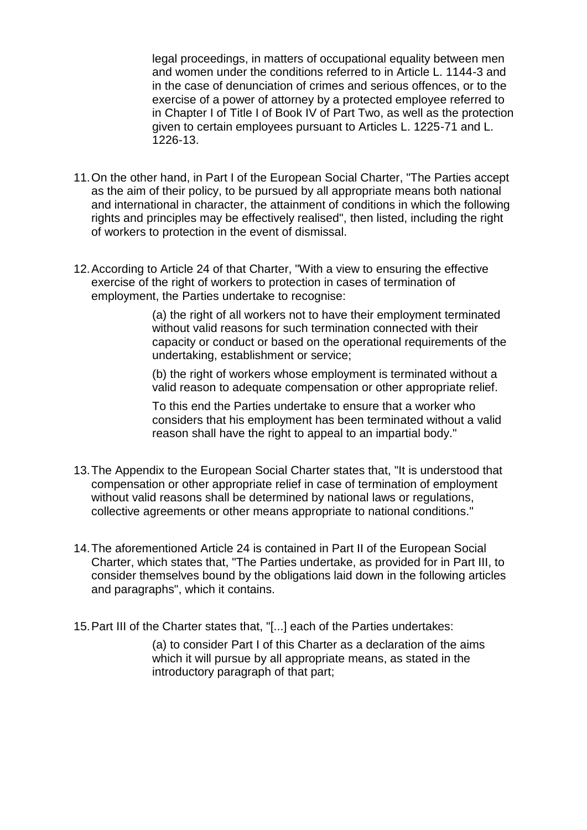legal proceedings, in matters of occupational equality between men and women under the conditions referred to in Article L. 1144-3 and in the case of denunciation of crimes and serious offences, or to the exercise of a power of attorney by a protected employee referred to in Chapter I of Title I of Book IV of Part Two, as well as the protection given to certain employees pursuant to Articles L. 1225-71 and L. 1226-13.

- 11.On the other hand, in Part I of the European Social Charter, "The Parties accept as the aim of their policy, to be pursued by all appropriate means both national and international in character, the attainment of conditions in which the following rights and principles may be effectively realised", then listed, including the right of workers to protection in the event of dismissal.
- 12.According to Article 24 of that Charter, "With a view to ensuring the effective exercise of the right of workers to protection in cases of termination of employment, the Parties undertake to recognise:

(a) the right of all workers not to have their employment terminated without valid reasons for such termination connected with their capacity or conduct or based on the operational requirements of the undertaking, establishment or service;

(b) the right of workers whose employment is terminated without a valid reason to adequate compensation or other appropriate relief.

To this end the Parties undertake to ensure that a worker who considers that his employment has been terminated without a valid reason shall have the right to appeal to an impartial body."

- 13.The Appendix to the European Social Charter states that, "It is understood that compensation or other appropriate relief in case of termination of employment without valid reasons shall be determined by national laws or regulations, collective agreements or other means appropriate to national conditions."
- 14.The aforementioned Article 24 is contained in Part II of the European Social Charter, which states that, "The Parties undertake, as provided for in Part III, to consider themselves bound by the obligations laid down in the following articles and paragraphs", which it contains.
- 15.Part III of the Charter states that, "[...] each of the Parties undertakes:

(a) to consider Part I of this Charter as a declaration of the aims which it will pursue by all appropriate means, as stated in the introductory paragraph of that part;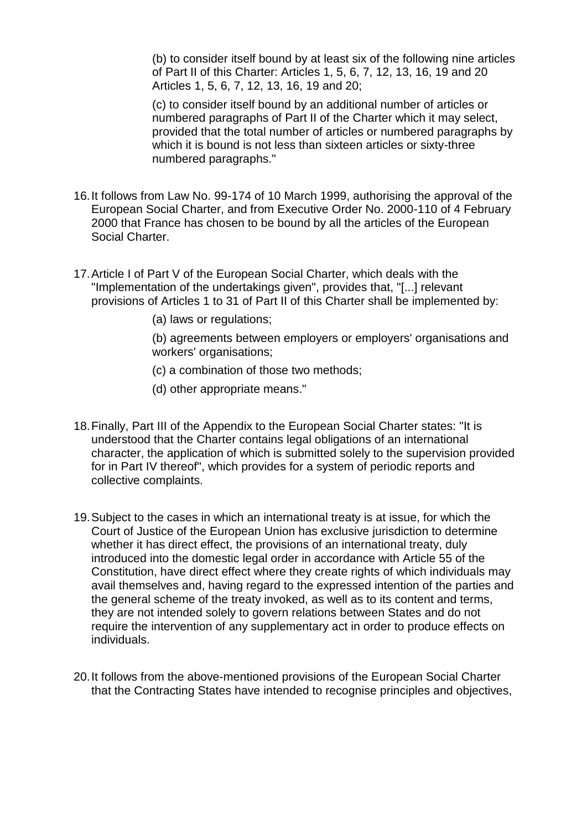(b) to consider itself bound by at least six of the following nine articles of Part II of this Charter: Articles 1, 5, 6, 7, 12, 13, 16, 19 and 20 Articles 1, 5, 6, 7, 12, 13, 16, 19 and 20;

(c) to consider itself bound by an additional number of articles or numbered paragraphs of Part II of the Charter which it may select, provided that the total number of articles or numbered paragraphs by which it is bound is not less than sixteen articles or sixty-three numbered paragraphs."

- 16.It follows from Law No. 99-174 of 10 March 1999, authorising the approval of the European Social Charter, and from Executive Order No. 2000-110 of 4 February 2000 that France has chosen to be bound by all the articles of the European Social Charter.
- 17.Article I of Part V of the European Social Charter, which deals with the "Implementation of the undertakings given", provides that, "[...] relevant provisions of Articles 1 to 31 of Part II of this Charter shall be implemented by:
	- (a) laws or regulations;

(b) agreements between employers or employers' organisations and workers' organisations;

- (c) a combination of those two methods;
- (d) other appropriate means."
- 18.Finally, Part III of the Appendix to the European Social Charter states: "It is understood that the Charter contains legal obligations of an international character, the application of which is submitted solely to the supervision provided for in Part IV thereof", which provides for a system of periodic reports and collective complaints.
- 19.Subject to the cases in which an international treaty is at issue, for which the Court of Justice of the European Union has exclusive jurisdiction to determine whether it has direct effect, the provisions of an international treaty, duly introduced into the domestic legal order in accordance with Article 55 of the Constitution, have direct effect where they create rights of which individuals may avail themselves and, having regard to the expressed intention of the parties and the general scheme of the treaty invoked, as well as to its content and terms, they are not intended solely to govern relations between States and do not require the intervention of any supplementary act in order to produce effects on individuals.
- 20.It follows from the above-mentioned provisions of the European Social Charter that the Contracting States have intended to recognise principles and objectives,